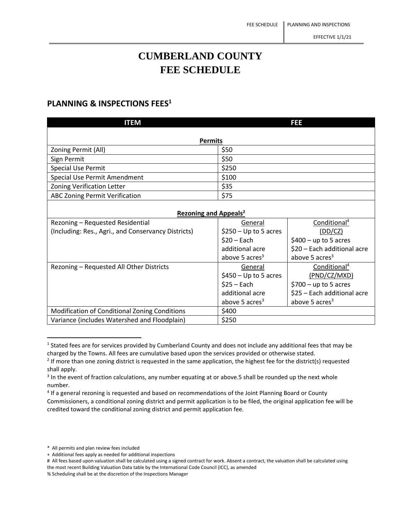## **CUMBERLAND COUNTY FEE SCHEDULE**

## **PLANNING & INSPECTIONS FEES<sup>1</sup>**

| <b>ITEM</b>                                         |                        | FEE                         |  |  |
|-----------------------------------------------------|------------------------|-----------------------------|--|--|
| <b>Permits</b>                                      |                        |                             |  |  |
| Zoning Permit (All)                                 | \$50                   |                             |  |  |
| Sign Permit                                         | \$50                   |                             |  |  |
| <b>Special Use Permit</b>                           | \$250                  |                             |  |  |
| Special Use Permit Amendment                        | \$100                  |                             |  |  |
| <b>Zoning Verification Letter</b>                   | \$35                   |                             |  |  |
| <b>ABC Zoning Permit Verification</b>               | \$75                   |                             |  |  |
|                                                     |                        |                             |  |  |
| <b>Rezoning and Appeals<sup>2</sup></b>             |                        |                             |  |  |
| Rezoning - Requested Residential                    | General                | Conditional <sup>4</sup>    |  |  |
| (Including: Res., Agri., and Conservancy Districts) | $$250 - Up to 5 acres$ | (DD/ CZ)                    |  |  |
|                                                     | $$20 - Each$           | $$400 - up to 5 acres$      |  |  |
|                                                     | additional acre        | \$20 - Each additional acre |  |  |
|                                                     | above 5 $\arccos^3$    | above 5 acres <sup>3</sup>  |  |  |
| Rezoning - Requested All Other Districts            | General                | Conditional <sup>4</sup>    |  |  |
|                                                     | $$450 - Up to 5 acres$ | (PND/CZ/MXD)                |  |  |
|                                                     | $$25 - Each$           | $$700 - up to 5 acres$      |  |  |
|                                                     | additional acre        | \$25 - Each additional acre |  |  |
|                                                     | above 5 acres $3$      | above 5 acres $3$           |  |  |
| Modification of Conditional Zoning Conditions       | \$400                  |                             |  |  |
| Variance (includes Watershed and Floodplain)        | \$250                  |                             |  |  |

 $<sup>1</sup>$  Stated fees are for services provided by Cumberland County and does not include any additional fees that may be</sup> charged by the Towns. All fees are cumulative based upon the services provided or otherwise stated.

<sup>4</sup> If a general rezoning is requested and based on recommendations of the Joint Planning Board or County Commissioners, a conditional zoning district and permit application is to be filed, the original application fee will be credited toward the conditional zoning district and permit application fee.

 $2$  If more than one zoning district is requested in the same application, the highest fee for the district(s) requested shall apply.

<sup>&</sup>lt;sup>3</sup> In the event of fraction calculations, any number equating at or above.5 shall be rounded up the next whole number.

<sup>\*</sup> All permits and plan review fees included

<sup>+</sup> Additional fees apply as needed for additional inspections

<sup>#</sup> All fees based upon valuation shall be calculated using a signed contract for work. Absent a contract, the valuation shall be calculated using the most recent Building Valuation Data table by the International Code Council (ICC), as amended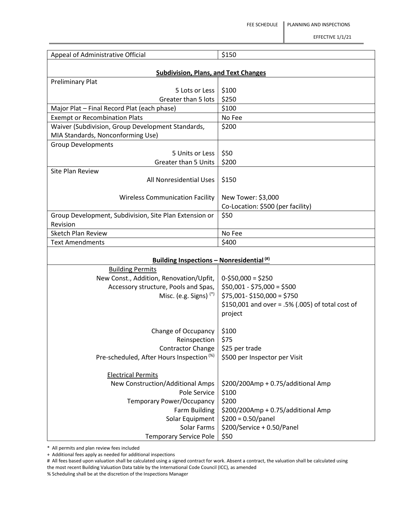| Appeal of Administrative Official                                      | \$150                                                     |  |
|------------------------------------------------------------------------|-----------------------------------------------------------|--|
|                                                                        |                                                           |  |
| <b>Subdivision, Plans, and Text Changes</b><br><b>Preliminary Plat</b> |                                                           |  |
| 5 Lots or Less                                                         | \$100                                                     |  |
| Greater than 5 lots                                                    | \$250                                                     |  |
| Major Plat - Final Record Plat (each phase)                            | \$100                                                     |  |
| <b>Exempt or Recombination Plats</b>                                   | No Fee                                                    |  |
| Waiver (Subdivision, Group Development Standards,                      | \$200                                                     |  |
| MIA Standards, Nonconforming Use)                                      |                                                           |  |
| <b>Group Developments</b>                                              |                                                           |  |
| 5 Units or Less                                                        | \$50                                                      |  |
| <b>Greater than 5 Units</b>                                            | \$200                                                     |  |
| <b>Site Plan Review</b>                                                |                                                           |  |
| All Nonresidential Uses                                                | \$150                                                     |  |
|                                                                        |                                                           |  |
| <b>Wireless Communication Facility</b>                                 | New Tower: \$3,000<br>Co-Location: \$500 (per facility)   |  |
| Group Development, Subdivision, Site Plan Extension or                 | \$50                                                      |  |
| Revision                                                               |                                                           |  |
| <b>Sketch Plan Review</b>                                              | No Fee                                                    |  |
| <b>Text Amendments</b>                                                 | \$400                                                     |  |
|                                                                        |                                                           |  |
| <b>Building Inspections - Nonresidential</b> <sup>(#)</sup>            |                                                           |  |
| <b>Building Permits</b>                                                |                                                           |  |
| New Const., Addition, Renovation/Upfit,                                | $0-550,000 = 5250$                                        |  |
| Accessory structure, Pools and Spas,<br>Misc. (e.g. Signs) $(*)$       | $$50,001 - $75,000 = $500$<br>$$75,001 - $150,000 = $750$ |  |
|                                                                        | \$150,001 and over = .5% (.005) of total cost of          |  |
|                                                                        | project                                                   |  |
|                                                                        |                                                           |  |
| Change of Occupancy                                                    | \$100                                                     |  |
| Reinspection                                                           | \$75                                                      |  |
| <b>Contractor Change</b>                                               | \$25 per trade                                            |  |
| Pre-scheduled, After Hours Inspection <sup>(%)</sup>                   | \$500 per Inspector per Visit                             |  |
| <b>Electrical Permits</b>                                              |                                                           |  |
| New Construction/Additional Amps                                       | \$200/200Amp + 0.75/additional Amp                        |  |
| Pole Service                                                           | \$100                                                     |  |
| Temporary Power/Occupancy                                              | \$200                                                     |  |
| Farm Building                                                          | \$200/200Amp + 0.75/additional Amp                        |  |
| Solar Equipment                                                        | $$200 = 0.50/panel$                                       |  |
| Solar Farms                                                            | \$200/Service + 0.50/Panel                                |  |
| <b>Temporary Service Pole</b>                                          | \$50                                                      |  |

\* All permits and plan review fees included

+ Additional fees apply as needed for additional inspections

# All fees based upon valuation shall be calculated using a signed contract for work. Absent a contract, the valuation shall be calculated using the most recent Building Valuation Data table by the International Code Council (ICC), as amended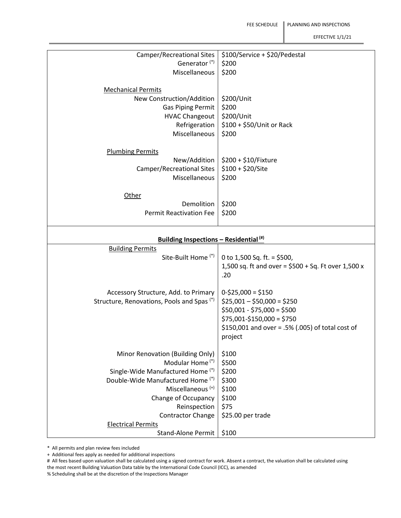| Camper/Recreational Sites                                | \$100/Service + \$20/Pedestal                         |  |
|----------------------------------------------------------|-------------------------------------------------------|--|
| Generator <sup>(*)</sup>                                 | \$200                                                 |  |
| Miscellaneous                                            | \$200                                                 |  |
|                                                          |                                                       |  |
|                                                          |                                                       |  |
| <b>Mechanical Permits</b>                                |                                                       |  |
| New Construction/Addition                                | \$200/Unit                                            |  |
| <b>Gas Piping Permit</b>                                 | \$200                                                 |  |
| <b>HVAC Changeout</b>                                    | \$200/Unit                                            |  |
| Refrigeration                                            | \$100 + \$50/Unit or Rack                             |  |
| Miscellaneous                                            | \$200                                                 |  |
|                                                          |                                                       |  |
|                                                          |                                                       |  |
| <b>Plumbing Permits</b>                                  |                                                       |  |
| New/Addition                                             | \$200 + \$10/Fixture                                  |  |
| <b>Camper/Recreational Sites</b>                         | $$100 + $20/$ Site                                    |  |
| Miscellaneous                                            | \$200                                                 |  |
|                                                          |                                                       |  |
| Other                                                    |                                                       |  |
| Demolition                                               | \$200                                                 |  |
| <b>Permit Reactivation Fee</b>                           |                                                       |  |
|                                                          | \$200                                                 |  |
|                                                          |                                                       |  |
| <b>Building Inspections - Residential</b> <sup>(#)</sup> |                                                       |  |
| <b>Building Permits</b>                                  |                                                       |  |
| Site-Built Home <sup>(*)</sup>                           | 0 to 1,500 Sq. ft. = \$500,                           |  |
|                                                          |                                                       |  |
|                                                          |                                                       |  |
|                                                          | 1,500 sq. ft and over = $$500 + Sq$ . Ft over 1,500 x |  |
|                                                          | .20                                                   |  |
|                                                          |                                                       |  |
| Accessory Structure, Add. to Primary                     | $0-525,000 = 5150$                                    |  |
| Structure, Renovations, Pools and Spas <sup>(*)</sup>    | $$25,001 - $50,000 = $250$                            |  |
|                                                          |                                                       |  |
|                                                          | $$50,001 - $75,000 = $500$                            |  |
|                                                          | $$75,001-\$150,000 = $750$                            |  |
|                                                          | \$150,001 and over = .5% (.005) of total cost of      |  |
|                                                          | project                                               |  |
|                                                          |                                                       |  |
| Minor Renovation (Building Only)                         | \$100                                                 |  |
| Modular Home <sup>(*)</sup>                              | \$500                                                 |  |
| Single-Wide Manufactured Home (*)                        | \$200                                                 |  |
| Double-Wide Manufactured Home (*)                        | \$300                                                 |  |
| Miscellaneous <sup>(+)</sup>                             |                                                       |  |
|                                                          | \$100                                                 |  |
| Change of Occupancy                                      | \$100                                                 |  |
| Reinspection                                             | \$75                                                  |  |
| <b>Contractor Change</b>                                 | \$25.00 per trade                                     |  |
| <b>Electrical Permits</b><br><b>Stand-Alone Permit</b>   | \$100                                                 |  |

\* All permits and plan review fees included

+ Additional fees apply as needed for additional inspections

# All fees based upon valuation shall be calculated using a signed contract for work. Absent a contract, the valuation shall be calculated using the most recent Building Valuation Data table by the International Code Council (ICC), as amended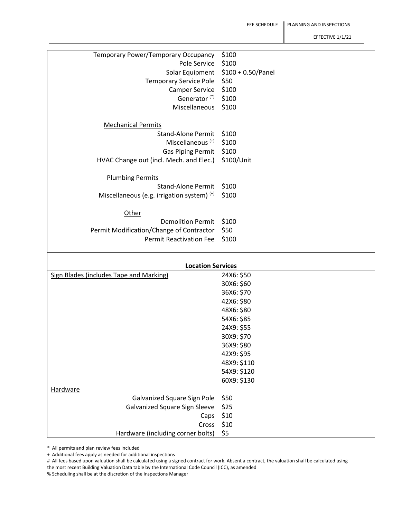| Temporary Power/Temporary Occupancy            | \$100                |
|------------------------------------------------|----------------------|
| Pole Service                                   | \$100                |
|                                                |                      |
| Solar Equipment                                | $$100 + 0.50/$ Panel |
| <b>Temporary Service Pole</b>                  | \$50                 |
| <b>Camper Service</b>                          | \$100                |
|                                                |                      |
| Generator <sup>(*)</sup>                       | \$100                |
| Miscellaneous                                  | \$100                |
|                                                |                      |
|                                                |                      |
| <b>Mechanical Permits</b>                      |                      |
| <b>Stand-Alone Permit</b>                      | \$100                |
| Miscellaneous <sup>(+)</sup>                   | \$100                |
| <b>Gas Piping Permit</b>                       | \$100                |
|                                                |                      |
| HVAC Change out (incl. Mech. and Elec.)        | \$100/Unit           |
|                                                |                      |
| <b>Plumbing Permits</b>                        |                      |
|                                                |                      |
| <b>Stand-Alone Permit</b>                      | \$100                |
| Miscellaneous (e.g. irrigation system) $(+)$   | \$100                |
|                                                |                      |
|                                                |                      |
| Other                                          |                      |
| <b>Demolition Permit</b>                       | \$100                |
| Permit Modification/Change of Contractor       | \$50                 |
|                                                |                      |
| <b>Permit Reactivation Fee</b>                 | \$100                |
|                                                |                      |
|                                                |                      |
| <b>Location Services</b>                       |                      |
| <b>Sign Blades (includes Tape and Marking)</b> | 24X6: \$50           |
|                                                |                      |
|                                                | 30X6: \$60           |
|                                                | 36X6: \$70           |
|                                                | 42X6: \$80           |
|                                                |                      |
|                                                | 48X6: \$80           |
|                                                | 54X6: \$85           |
|                                                | 24X9: \$55           |
|                                                | 30X9: \$70           |
|                                                |                      |
|                                                | 36X9: \$80           |
|                                                | 42X9: \$95           |
|                                                | 48X9: \$110          |
|                                                |                      |
|                                                | 54X9: \$120          |
|                                                | 60X9: \$130          |
| <b>Hardware</b>                                |                      |
|                                                |                      |
| Galvanized Square Sign Pole                    | \$50                 |
| <b>Galvanized Square Sign Sleeve</b>           | \$25                 |
| Caps                                           | \$10                 |
| Cross                                          | \$10                 |
|                                                |                      |
| Hardware (including corner bolts)              | \$5                  |

\* All permits and plan review fees included

+ Additional fees apply as needed for additional inspections

# All fees based upon valuation shall be calculated using a signed contract for work. Absent a contract, the valuation shall be calculated using the most recent Building Valuation Data table by the International Code Council (ICC), as amended